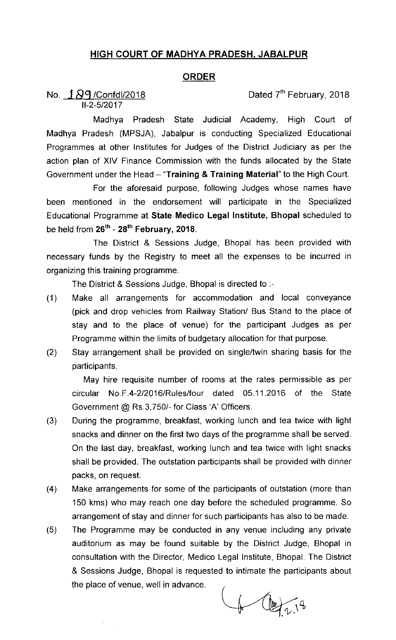## HIGH COURT OF MADHYA PRADESH, JABALPUR

## ORDER

No.  $\frac{1}{2}$   $\frac{1}{9}$  /Confd  $\frac{1}{2018}$  / Confd  $\frac{1}{2018}$  $11-2-5/2017$ 

Madhya Pradesh State Judicial Academy, High Court of Madhya Pradesh (MPSJA), Jabalpur is conducting Specialized Educational Programmes at other Institutes for Judges of the District Judiciary as per the action plan of XIV Finance Commission with the funds allocated by the State Government under the Head  $-$  "Training & Training Material" to the High Court.

For the aforesaid purpose, following Judges whose names have been mentioned in the endorsement will participate in the Specialized Educational Programme at State Medico Legal Institute, Bhopal scheduled to be held from  $26^{th}$  -  $28^{th}$  February, 2018.

The District & Sessions Judge, Bhopal has been provided with necessary funds by the Registry to meet all the expenses to be incurred in organizing this training programme.

The District & Sessions Judge, Bhopal is directed to .-

- (1) Make all arrangements for accommodation and local conveyance (pick and drop vehicles from Railway Station/ Bus Stand to the place of stay and to the place of venue) for the participant Judges as per Programme within the limits of budgetary allocation for that purpose.
- (2) Stay arrangement shall be provided on single/twin sharing basis for the participants.

May hire requisite number of rooms at the rates permissible as per circular No.F.4-2/2016/Rules/four. dated 05.11.2016 of the State Government @ Rs.3,750/- for Class 'A' Officers.

- (3) During the programme, breakfast, working lunch and tea twice with light snacks and dinner on the first two days of the programme shall be served. On the last day, breakfast, working lunch and tea twice with light snacks shall be provided. The outstation participants shall be provided with dinner packs, on request.
- (4) Make arrangements for some of the participants of outstation (more than 150 kms) who may reach one day before the scheduled programme. So arrangement of stay and dinner for such participants has also to be made.
- (5) The Programme may be conducted in any venue including any private auditorium as may be found suitable by the District Judge, Bhopal in consultation with the Director, Medico Legal Institute, Bhopal The District & Sessions Judge, Bhopal is requested to intimate the participants about the place of venue, well in advance.

 $f(12)$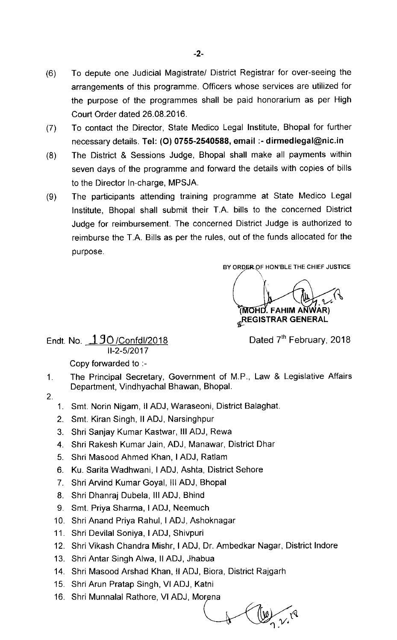- (6) To depute one Judicial Magistrate/ District Registrar for over-seeing the arrangements of this programme. Officers whose services are utilized for the purpose of the programmes shall be paid honorarium as per High Court Order dated 26.08.2016.
- (7) To contact the Director, State Medico Legal Institute, Bhopal for further necessary details. Tel: (0) 0755-2540588, email :-dirmedlegal@nic.in
- (8) The District & Sessions Judge, Bhopal shall make all payments within seven days of the programme and forward the details with copies of bills to the Director ln-charge, MPSJA.
- (9) The participants attending training programme at State Medico Legal Institute, Bhopal shall submit their T.A. bills to the concerned District Judge for reimbursement. The concerned District Judge is authorized to reimburse the T.A. Bills as per the rules, out of the funds allocated for the purpose.

BY ORDER OF HON'BLE THE CHIEF JUSTICE

(MOHD. FAHIM ANWAR)  $_{\mathscr{Q}}$ REGISTRAR GENERAL

Endt. No. 190/Confdl/2018 11-2-5/2017

Dated 7<sup>th</sup> February, 2018

Copy forvarded to :-

- 1. The Principal Secretary, Government of M.P., Law & Legislative Affairs Department, Vindhyachal Bhawan, Bhopal.
- 2.
- 1. Smt. Norin Nigam, II ADJ, Waraseoni, District Balaghat.
- 2. Smt. Kiran Singh, II ADJ, Narsinghpur
- 3. Shri Sanjay Kumar Kastwar, III ADJ, Rewa
- 4. Shri Rakesh Kumar Jain, ADJ, Manawar, District Dhar
- 5. Shri Masood Ahmed Khan,I ADJ, Ratlam
- 6. Ku. Sarita Wadhwani,I ADJ, Ashta, District Sehore
- 7. Shri Arvind Kumar Goyal, III ADJ, Bhopal
- 8. Shri Dhanraj Dubela, III ADJ, Bhind
- 9. Smt. Priya Sharma, I ADJ, Neemuch
- 10. Shri Anand Priya Rahul,I ADJ, Ashoknagar
- 11. Shri Devilal Soniya,I ADJ, Shivpuri
- 12. Shri Vikash Chandra Mishr, I ADJ, Dr. Ambedkar Nagar, District lndore
- 13. Shri Antar Singh Alwa, II ADJ, Jhabua
- 14. Shri Masood Arshad Khan, II ADJ, Biora, District Rajgarh
- 15. Shri Arun Pratap Singh, VI ADJ, Katni
- 16. Shri Munnalal Rathore, VI ADJ,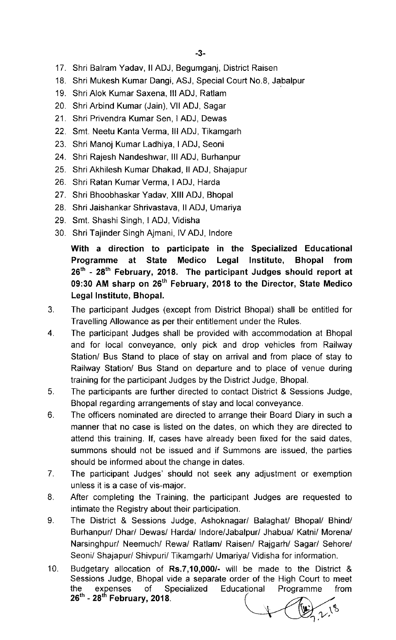- 17. Shri Balram Yadav, II ADJ, Begumganj, District Raisen
- 18. Shri Mukesh Kumar Dangi, ASJ, Special Court No.8, Jabalpur
- 19. Shri Alok Kumar Saxena, III ADJ, Ratlam
- 20. Shri Arbind Kumar (Jain), Vll ADJ, Sagar
- 21. Shri Privendra Kumar Sen, I ADJ, Dewas
- 22. Smt. Neetu Kanta Verma, III ADJ, Tikamgarh
- 23. Shri Manoj Kumar Ladhiya,I ADJ, Seoni
- 24. Shri Rajesh Nandeshwar, III ADJ, Burhanpur
- 25. Shri Akhilesh Kumar Dhakad, II ADJ, Shajapur
- 26. Shri Ratan Kumar Verma, I ADJ, Harda
- 27. Shri Bhoobhaskar Yadav, XIII ADJ, Bhopal
- 28. Shri Jaishankar Shrivastava, II ADJ, Umariya
- 29. Smt. Shashi Singh, I ADJ, Vidisha
- 30. Shri Tajinder Singh Ajmani, IV ADJ, Indore

With a direction to participate in the Specialized Educational Programme at State Medico Legal Institute, Bhopal from 26<sup>th</sup> - 28<sup>th</sup> February, 2018. The participant Judges should report at 09:30 AM sharp on  $26<sup>th</sup>$  February, 2018 to the Director, State Medico Legal Institute, Bhopal.

- 3. The participant Judges (except from District Bhopal) shall be entitled for Travelling Allowance as per their entitlement under the Rules.
- 4. The participant Judges shall be provided with accommodation at Bhopal and for local conveyance, only pick and drop vehicles from Railway Station/ Bus Stand to place of stay on arrival and from place of stay to Railway Station/ Bus Stand on departure and to place of venue during training for the participant Judges by the District Judge, Bhopal.
- 5. The participants are further directed to contact District & Sessions Judge, Bhopal regarding arrangements of stay and local conveyance.
- $6.$ The officers nominated are directed to arrange their Board Diary in such a manner that no case is listed on the dates, on which they are directed to attend this training. If, cases have already been fixed for the said dates, summons should not be issued and if Summons are issued, the parties should be informed about the change in dates.
- $7<sub>1</sub>$ The participant Judges' should not seek any adjustment or exemption unless it is a case of vis-major.
- 8. After completing the Training, the participant Judges are requested to intimate the Registry about their participation.
- 9. The District & Sessions Judge, Ashoknagar/ Balaghat/ Bhopal/ Bhind/ Burhanpur/ Dhar/ Dewas/ Harda/ lndore/Jabalpur/ Jhabua/ Katni/ Morena/ Narsinghpur/ Neemuch/ Rewa/ Ratlam/ Raisen/ Rajgarh/ Sagar/ Sehore/ Seoni/ Shajapur/ Shivpuri/ Tikamgarh/ Umariya/ Vidisha for information.
- 10. Budgetary allocation of Rs.7,10,000/- will be made to the District & Sessions Judge, Bhopal vide a separate order of the High Court to meet the expenses of Specialized<br>26<sup>th</sup> - 28<sup>th</sup> February, 2018. Educational Programme from